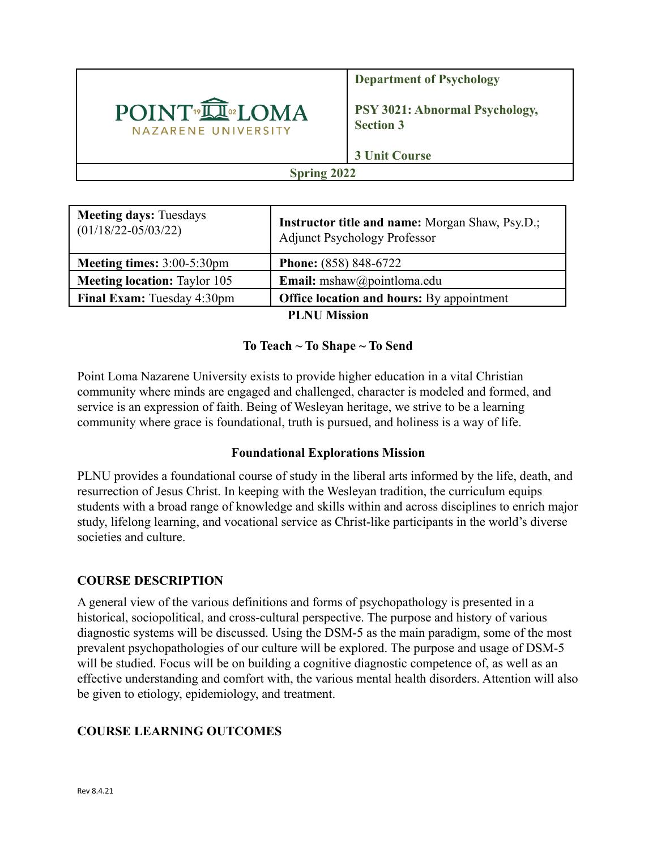

**Department of Psychology**

**PSY 3021: Abnormal Psychology, Section 3**

**3 Unit Course**

## **Spring 2022**

| <b>Meeting days: Tuesdays</b><br>$(01/18/22 - 05/03/22)$ | <b>Instructor title and name:</b> Morgan Shaw, Psy.D.;<br><b>Adjunct Psychology Professor</b> |  |  |  |
|----------------------------------------------------------|-----------------------------------------------------------------------------------------------|--|--|--|
| Meeting times: 3:00-5:30pm                               | <b>Phone:</b> (858) 848-6722                                                                  |  |  |  |
| <b>Meeting location:</b> Taylor 105                      | Email: mshaw@pointloma.edu                                                                    |  |  |  |
| <b>Final Exam:</b> Tuesday 4:30pm                        | <b>Office location and hours:</b> By appointment                                              |  |  |  |
| <b>PLNU Mission</b>                                      |                                                                                               |  |  |  |

### **To Teach ~ To Shape ~ To Send**

Point Loma Nazarene University exists to provide higher education in a vital Christian community where minds are engaged and challenged, character is modeled and formed, and service is an expression of faith. Being of Wesleyan heritage, we strive to be a learning community where grace is foundational, truth is pursued, and holiness is a way of life.

### **Foundational Explorations Mission**

PLNU provides a foundational course of study in the liberal arts informed by the life, death, and resurrection of Jesus Christ. In keeping with the Wesleyan tradition, the curriculum equips students with a broad range of knowledge and skills within and across disciplines to enrich major study, lifelong learning, and vocational service as Christ-like participants in the world's diverse societies and culture.

### **COURSE DESCRIPTION**

A general view of the various definitions and forms of psychopathology is presented in a historical, sociopolitical, and cross-cultural perspective. The purpose and history of various diagnostic systems will be discussed. Using the DSM-5 as the main paradigm, some of the most prevalent psychopathologies of our culture will be explored. The purpose and usage of DSM-5 will be studied. Focus will be on building a cognitive diagnostic competence of, as well as an effective understanding and comfort with, the various mental health disorders. Attention will also be given to etiology, epidemiology, and treatment.

### **COURSE LEARNING OUTCOMES**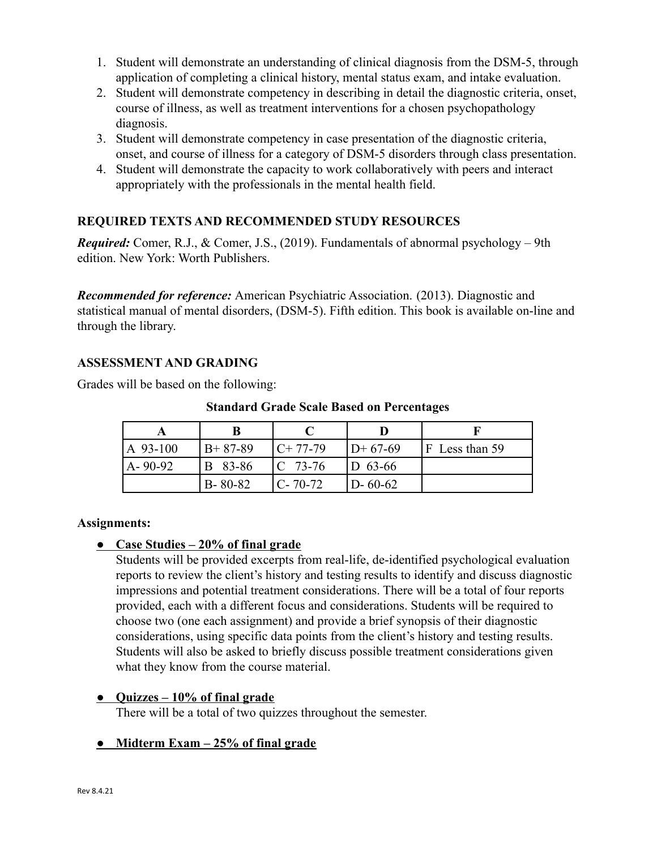- 1. Student will demonstrate an understanding of clinical diagnosis from the DSM-5, through application of completing a clinical history, mental status exam, and intake evaluation.
- 2. Student will demonstrate competency in describing in detail the diagnostic criteria, onset, course of illness, as well as treatment interventions for a chosen psychopathology diagnosis.
- 3. Student will demonstrate competency in case presentation of the diagnostic criteria, onset, and course of illness for a category of DSM-5 disorders through class presentation.
- 4. Student will demonstrate the capacity to work collaboratively with peers and interact appropriately with the professionals in the mental health field.

# **REQUIRED TEXTS AND RECOMMENDED STUDY RESOURCES**

*Required:* Comer, R.J., & Comer, J.S., (2019). Fundamentals of abnormal psychology – 9th edition. New York: Worth Publishers.

*Recommended for reference:* American Psychiatric Association. (2013). Diagnostic and statistical manual of mental disorders, (DSM-5). Fifth edition. This book is available on-line and through the library.

## **ASSESSMENT AND GRADING**

Grades will be based on the following:

**Standard Grade Scale Based on Percentages**

| $A$ 93-100    | $B+87-89$     | $C+77-79$     | $D+67-69$     | $F$ Less than 59 |
|---------------|---------------|---------------|---------------|------------------|
| $A - 90 - 92$ | B 83-86       | $C$ 73-76     | $ D 63-66 $   |                  |
|               | $B - 80 - 82$ | $C - 70 - 72$ | $D - 60 - 62$ |                  |

#### **Assignments:**

### **● Case Studies – 20% of final grade**

Students will be provided excerpts from real-life, de-identified psychological evaluation reports to review the client's history and testing results to identify and discuss diagnostic impressions and potential treatment considerations. There will be a total of four reports provided, each with a different focus and considerations. Students will be required to choose two (one each assignment) and provide a brief synopsis of their diagnostic considerations, using specific data points from the client's history and testing results. Students will also be asked to briefly discuss possible treatment considerations given what they know from the course material.

#### **● Quizzes – 10% of final grade**

There will be a total of two quizzes throughout the semester.

### **● Midterm Exam – 25% of final grade**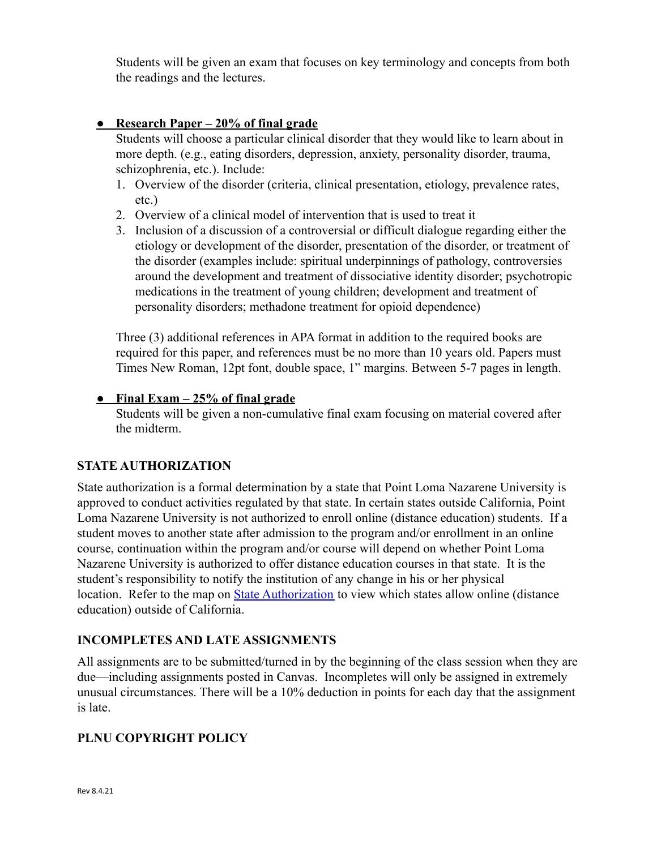Students will be given an exam that focuses on key terminology and concepts from both the readings and the lectures.

### **● Research Paper – 20% of final grade**

Students will choose a particular clinical disorder that they would like to learn about in more depth. (e.g., eating disorders, depression, anxiety, personality disorder, trauma, schizophrenia, etc.). Include:

- 1. Overview of the disorder (criteria, clinical presentation, etiology, prevalence rates, etc.)
- 2. Overview of a clinical model of intervention that is used to treat it
- 3. Inclusion of a discussion of a controversial or difficult dialogue regarding either the etiology or development of the disorder, presentation of the disorder, or treatment of the disorder (examples include: spiritual underpinnings of pathology, controversies around the development and treatment of dissociative identity disorder; psychotropic medications in the treatment of young children; development and treatment of personality disorders; methadone treatment for opioid dependence)

Three (3) additional references in APA format in addition to the required books are required for this paper, and references must be no more than 10 years old. Papers must Times New Roman, 12pt font, double space, 1" margins. Between 5-7 pages in length.

### **● Final Exam – 25% of final grade**

Students will be given a non-cumulative final exam focusing on material covered after the midterm.

# **STATE AUTHORIZATION**

State authorization is a formal determination by a state that Point Loma Nazarene University is approved to conduct activities regulated by that state. In certain states outside California, Point Loma Nazarene University is not authorized to enroll online (distance education) students. If a student moves to another state after admission to the program and/or enrollment in an online course, continuation within the program and/or course will depend on whether Point Loma Nazarene University is authorized to offer distance education courses in that state. It is the student's responsibility to notify the institution of any change in his or her physical location. Refer to the map on **[State Authorization](https://www.pointloma.edu/offices/office-institutional-effectiveness-research/disclosures)** to view which states allow online (distance education) outside of California.

### **INCOMPLETES AND LATE ASSIGNMENTS**

All assignments are to be submitted/turned in by the beginning of the class session when they are due—including assignments posted in Canvas. Incompletes will only be assigned in extremely unusual circumstances. There will be a 10% deduction in points for each day that the assignment is late.

# **PLNU COPYRIGHT POLICY**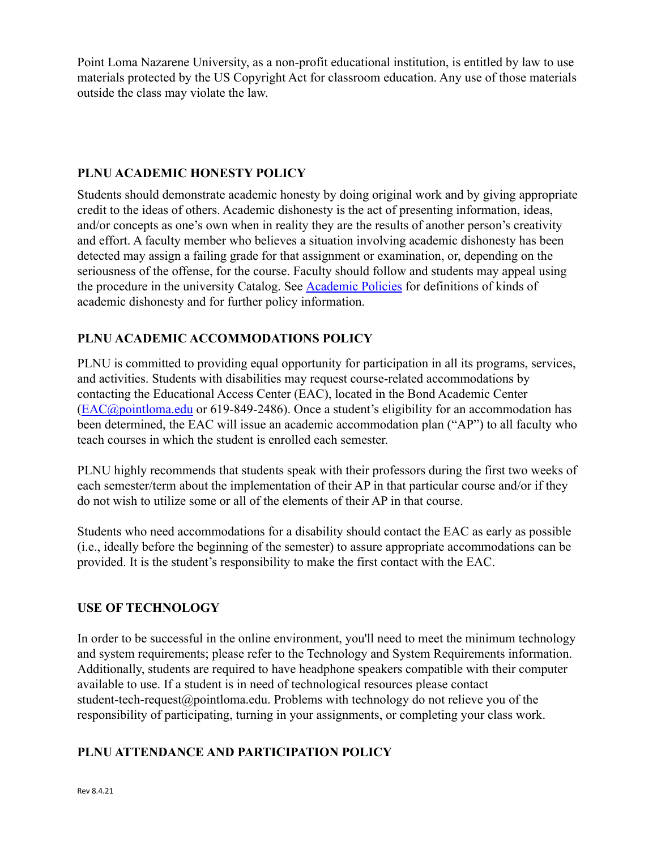Point Loma Nazarene University, as a non-profit educational institution, is entitled by law to use materials protected by the US Copyright Act for classroom education. Any use of those materials outside the class may violate the law.

### **PLNU ACADEMIC HONESTY POLICY**

Students should demonstrate academic honesty by doing original work and by giving appropriate credit to the ideas of others. Academic dishonesty is the act of presenting information, ideas, and/or concepts as one's own when in reality they are the results of another person's creativity and effort. A faculty member who believes a situation involving academic dishonesty has been detected may assign a failing grade for that assignment or examination, or, depending on the seriousness of the offense, for the course. Faculty should follow and students may appeal using the procedure in the university Catalog. See [Academic](https://catalog.pointloma.edu/content.php?catoid=52&navoid=2919#Academic_Honesty) Policies for definitions of kinds of academic dishonesty and for further policy information.

# **PLNU ACADEMIC ACCOMMODATIONS POLICY**

PLNU is committed to providing equal opportunity for participation in all its programs, services, and activities. Students with disabilities may request course-related accommodations by contacting the Educational Access Center (EAC), located in the Bond Academic Center ([EAC@pointloma.edu](mailto:EAC@pointloma.edu) or 619-849-2486). Once a student's eligibility for an accommodation has been determined, the EAC will issue an academic accommodation plan ("AP") to all faculty who teach courses in which the student is enrolled each semester.

PLNU highly recommends that students speak with their professors during the first two weeks of each semester/term about the implementation of their AP in that particular course and/or if they do not wish to utilize some or all of the elements of their AP in that course.

Students who need accommodations for a disability should contact the EAC as early as possible (i.e., ideally before the beginning of the semester) to assure appropriate accommodations can be provided. It is the student's responsibility to make the first contact with the EAC.

### **USE OF TECHNOLOGY**

In order to be successful in the online environment, you'll need to meet the minimum technology and system requirements; please refer to the Technology and System Requirements information. Additionally, students are required to have headphone speakers compatible with their computer available to use. If a student is in need of technological resources please contact student-tech-request@pointloma.edu. Problems with technology do not relieve you of the responsibility of participating, turning in your assignments, or completing your class work.

### **PLNU ATTENDANCE AND PARTICIPATION POLICY**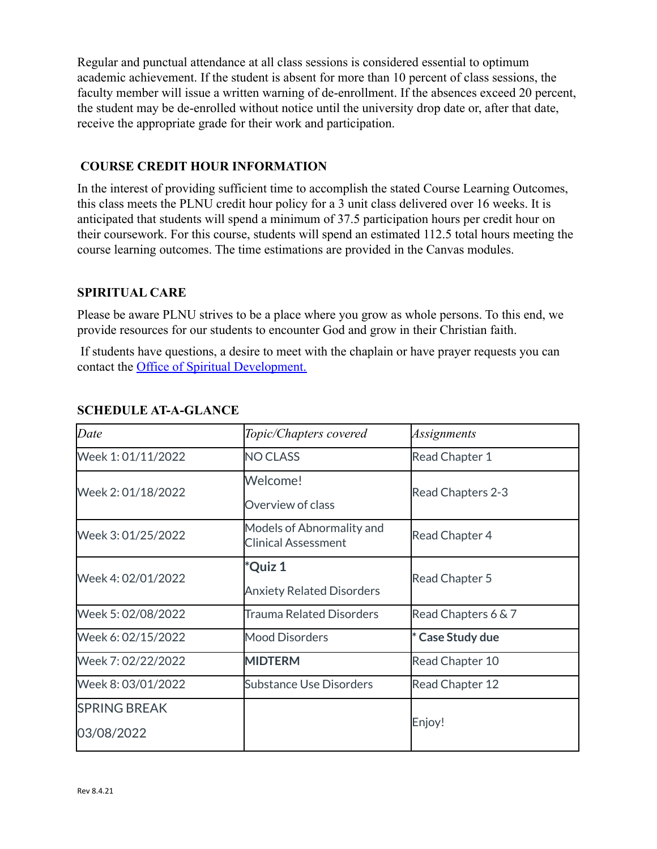Regular and punctual attendance at all class sessions is considered essential to optimum academic achievement. If the student is absent for more than 10 percent of class sessions, the faculty member will issue a written warning of de-enrollment. If the absences exceed 20 percent, the student may be de-enrolled without notice until the university drop date or, after that date, receive the appropriate grade for their work and participation.

### **COURSE CREDIT HOUR INFORMATION**

In the interest of providing sufficient time to accomplish the stated Course Learning Outcomes, this class meets the PLNU credit hour policy for a 3 unit class delivered over 16 weeks. It is anticipated that students will spend a minimum of 37.5 participation hours per credit hour on their coursework. For this course, students will spend an estimated 112.5 total hours meeting the course learning outcomes. The time estimations are provided in the Canvas modules.

#### **SPIRITUAL CARE**

Please be aware PLNU strives to be a place where you grow as whole persons. To this end, we provide resources for our students to encounter God and grow in their Christian faith.

If students have questions, a desire to meet with the chaplain or have prayer requests you can contact the Office of Spiritual Development.

| Date                | Topic/Chapters covered                                  | Assignments         |  |
|---------------------|---------------------------------------------------------|---------------------|--|
| Week 1:01/11/2022   | <b>NO CLASS</b>                                         | Read Chapter 1      |  |
| Week 2:01/18/2022   | Welcome!                                                | Read Chapters 2-3   |  |
|                     | Overview of class                                       |                     |  |
| Week 3:01/25/2022   | Models of Abnormality and<br><b>Clinical Assessment</b> | Read Chapter 4      |  |
| Week 4: 02/01/2022  | *Quiz 1                                                 | Read Chapter 5      |  |
|                     | <b>Anxiety Related Disorders</b>                        |                     |  |
| Week 5:02/08/2022   | <b>Trauma Related Disorders</b>                         | Read Chapters 6 & 7 |  |
| Week 6: 02/15/2022  | Mood Disorders                                          | * Case Study due    |  |
| Week 7:02/22/2022   | <b>MIDTERM</b>                                          | Read Chapter 10     |  |
| Week 8:03/01/2022   | Substance Use Disorders                                 | Read Chapter 12     |  |
| <b>SPRING BREAK</b> |                                                         |                     |  |
| 03/08/2022          |                                                         | Enjoy!              |  |

## **SCHEDULE AT-A-GLANCE**